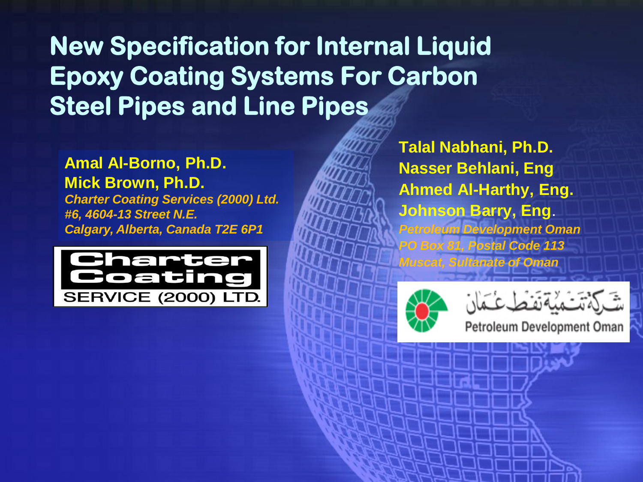**New Specification for Internal Liquid Epoxy Coating Systems For Carbon Steel Pipes and Line Pipes**

**Amal Al-Borno, Ph.D. Mick Brown, Ph.D.** *Charter Coating Services (2000) Ltd. #6, 4604-13 Street N.E. Calgary, Alberta, Canada T2E 6P1*



**Talal Nabhani, Ph.D. Nasser Behlani, Eng Ahmed Al-Harthy, Eng. Johnson Barry, Eng**. *Petroleum Development Oman PO Box 81, Postal Code 113 Muscat, Sultanate of Oman*



Petroleum Development Oman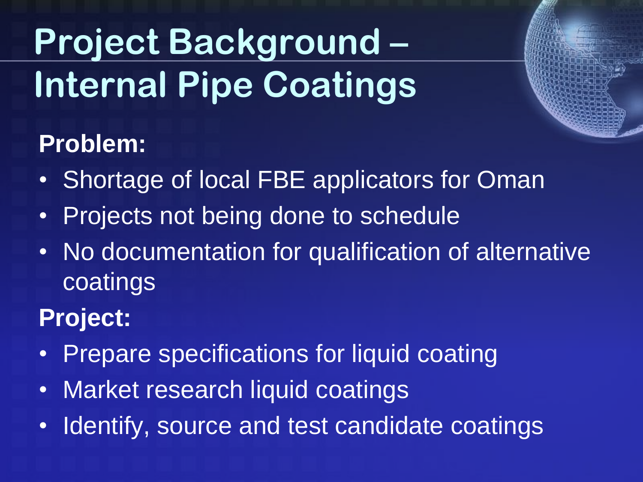# **Project Background – Internal Pipe Coatings**

#### **Problem:**

- Shortage of local FBE applicators for Oman
- Projects not being done to schedule
- No documentation for qualification of alternative coatings

#### **Project:**

- Prepare specifications for liquid coating
- Market research liquid coatings
- Identify, source and test candidate coatings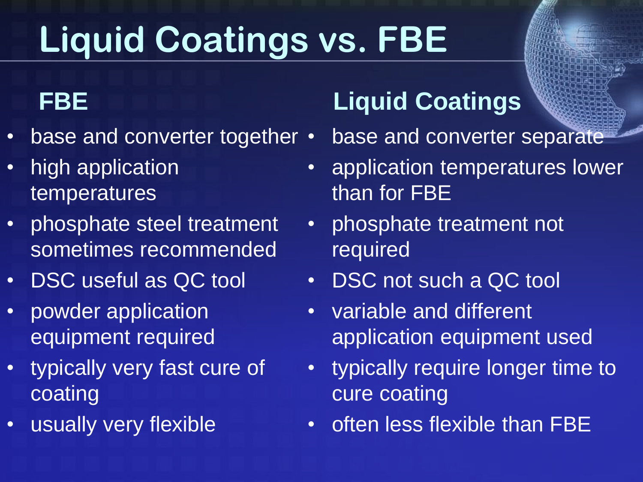# **Liquid Coatings vs. FBE**

#### **FBE**

- base and converter together  $\cdot$
- high application temperatures
- phosphate steel treatment sometimes recommended
- DSC useful as QC tool
- powder application equipment required
- typically very fast cure of coating
- usually very flexible

#### **Liquid Coatings**

• base and converter separate

- application temperatures lower than for FBE
- phosphate treatment not required
- DSC not such a QC tool
- variable and different application equipment used
- typically require longer time to cure coating
- often less flexible than FBE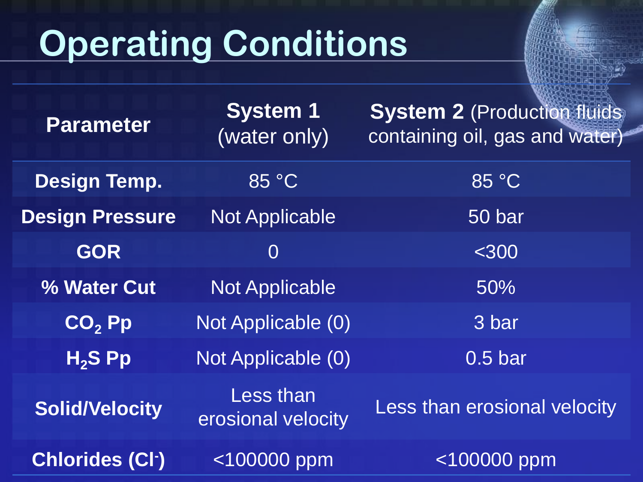# **Operating Conditions**

| <b>Parameter</b>       | <b>System 1</b><br>(water only) | <b>System 2 (Production fluids)</b><br>containing oil, gas and water) |
|------------------------|---------------------------------|-----------------------------------------------------------------------|
| <b>Design Temp.</b>    | 85 °C                           | 85 °C                                                                 |
| <b>Design Pressure</b> | <b>Not Applicable</b>           | 50 bar                                                                |
| <b>GOR</b>             | $\overline{0}$                  | $<$ 300                                                               |
| <b>% Water Cut</b>     | <b>Not Applicable</b>           | 50%                                                                   |
| $CO,$ $Pp$             | Not Applicable (0)              | 3 bar                                                                 |
| $H2S$ Pp               | Not Applicable (0)              | 0.5 <sub>bar</sub>                                                    |
| <b>Solid/Velocity</b>  | Less than<br>erosional velocity | Less than erosional velocity                                          |
| <b>Chlorides (CI-)</b> | $< 100000$ ppm                  | $<$ 100000 ppm                                                        |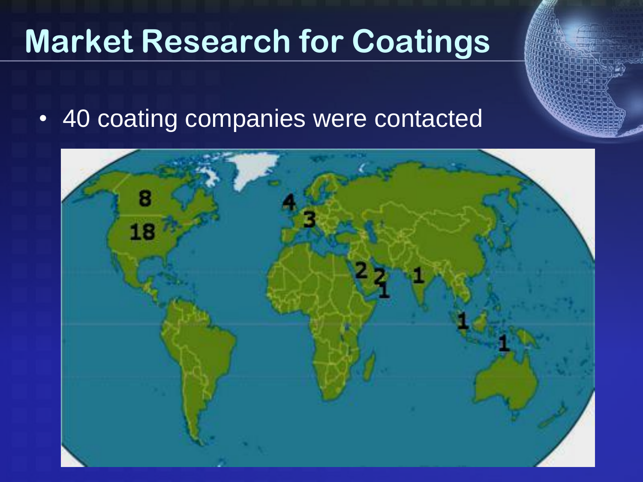### **Market Research for Coatings**

• 40 coating companies were contacted

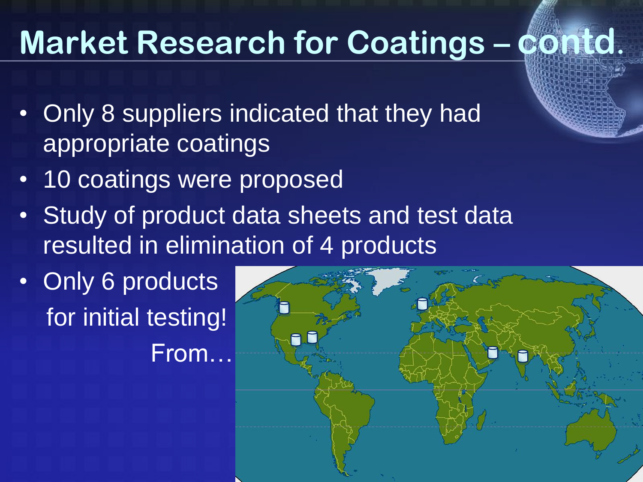### **Market Research for Coatings – contd.**

- Only 8 suppliers indicated that they had appropriate coatings
- 10 coatings were proposed
- Study of product data sheets and test data resulted in elimination of 4 products
- Only 6 products for initial testing! From…

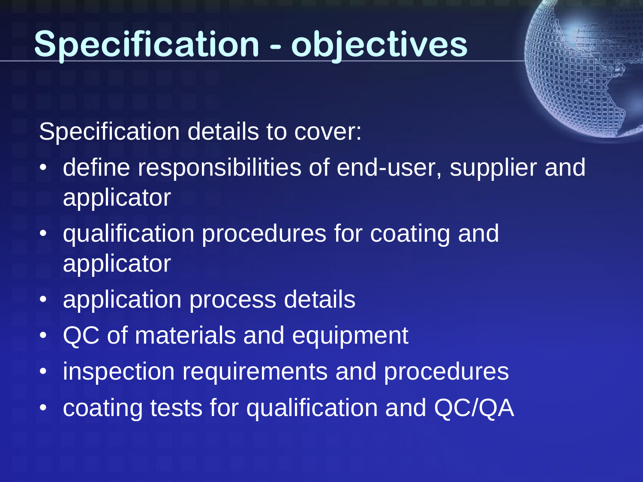### **Specification - objectives**

Specification details to cover:

- define responsibilities of end-user, supplier and applicator
- qualification procedures for coating and applicator
- application process details
- QC of materials and equipment
- inspection requirements and procedures
- coating tests for qualification and QC/QA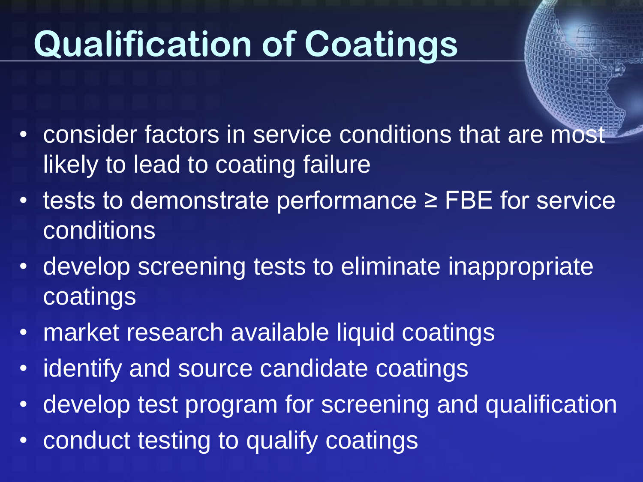# **Qualification of Coatings**

- consider factors in service conditions that are most likely to lead to coating failure
- tests to demonstrate performance ≥ FBE for service conditions
- develop screening tests to eliminate inappropriate coatings
- market research available liquid coatings
- identify and source candidate coatings
- develop test program for screening and qualification
- conduct testing to qualify coatings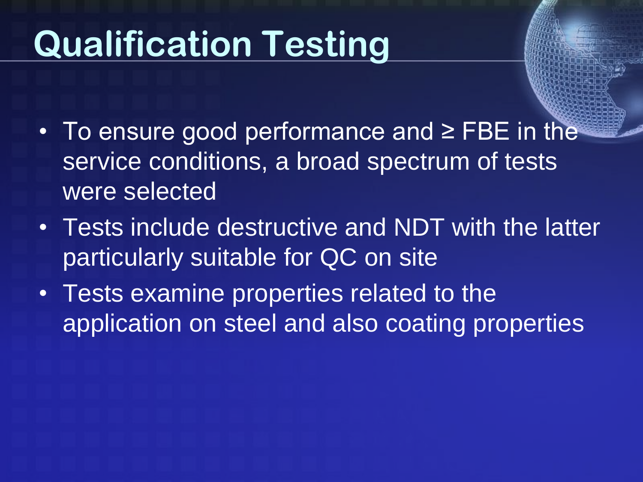# **Qualification Testing**

- To ensure good performance and ≥ FBE in the service conditions, a broad spectrum of tests were selected
- Tests include destructive and NDT with the latter particularly suitable for QC on site
- Tests examine properties related to the application on steel and also coating properties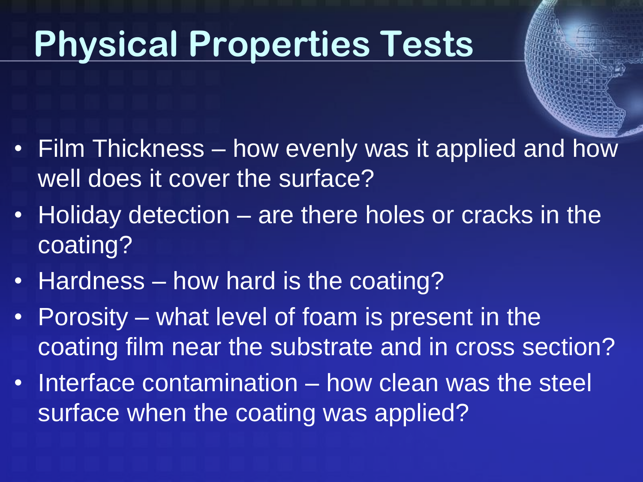## **Physical Properties Tests**

- Film Thickness how evenly was it applied and how well does it cover the surface?
- Holiday detection are there holes or cracks in the coating?
- Hardness how hard is the coating?
- Porosity what level of foam is present in the coating film near the substrate and in cross section?
- Interface contamination how clean was the steel surface when the coating was applied?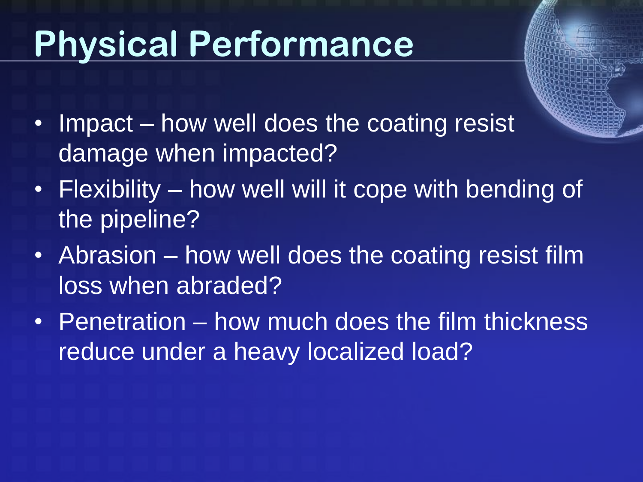# **Physical Performance**

- 
- Impact how well does the coating resist damage when impacted?
- Flexibility how well will it cope with bending of the pipeline?
- Abrasion how well does the coating resist film loss when abraded?
- Penetration how much does the film thickness reduce under a heavy localized load?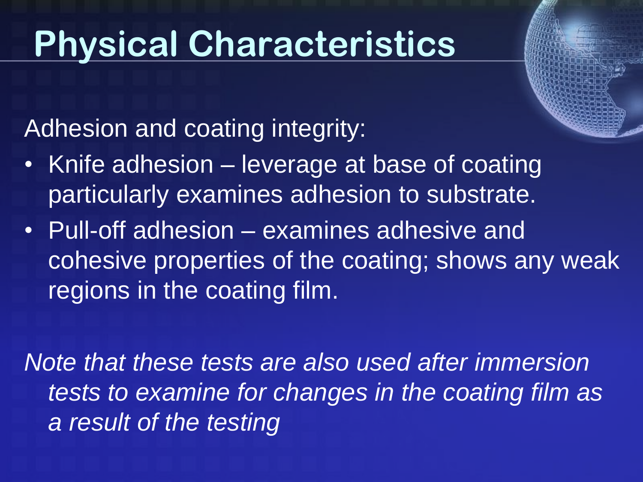### **Physical Characteristics**

Adhesion and coating integrity:

- Knife adhesion leverage at base of coating particularly examines adhesion to substrate.
- Pull-off adhesion examines adhesive and cohesive properties of the coating; shows any weak regions in the coating film.

*Note that these tests are also used after immersion tests to examine for changes in the coating film as a result of the testing*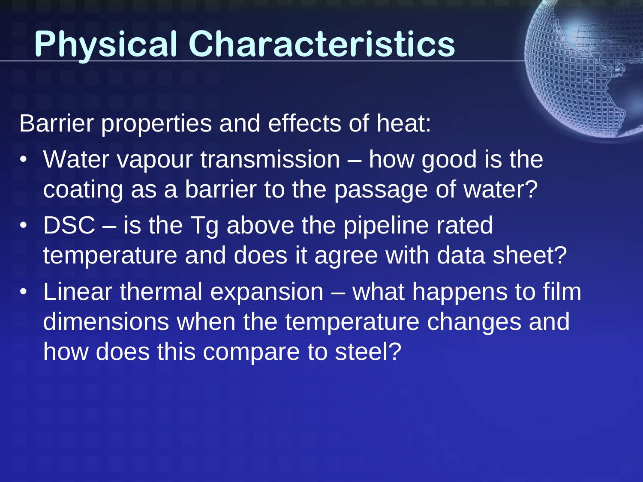## **Physical Characteristics**

Barrier properties and effects of heat:

- Water vapour transmission how good is the coating as a barrier to the passage of water?
- DSC is the Tg above the pipeline rated temperature and does it agree with data sheet?
- Linear thermal expansion what happens to film dimensions when the temperature changes and how does this compare to steel?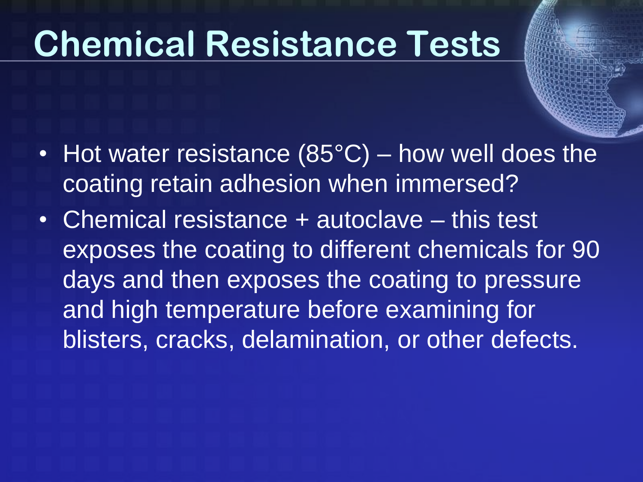### **Chemical Resistance Tests**

- Hot water resistance (85°C) how well does the coating retain adhesion when immersed?
- Chemical resistance + autoclave this test exposes the coating to different chemicals for 90 days and then exposes the coating to pressure and high temperature before examining for blisters, cracks, delamination, or other defects.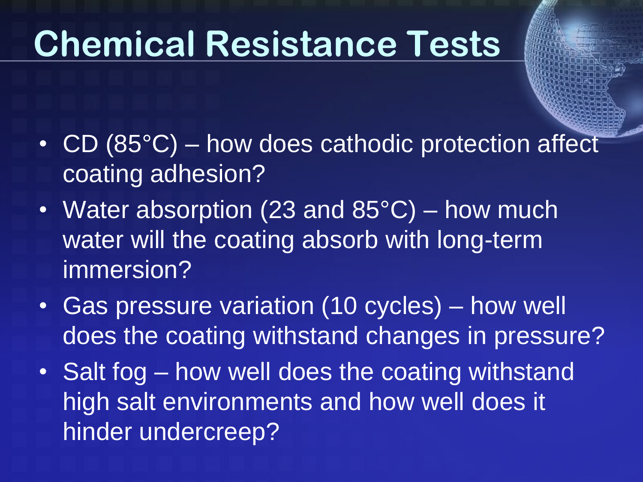## **Chemical Resistance Tests**

- CD (85°C) how does cathodic protection affect coating adhesion?
- Water absorption (23 and  $85^{\circ}$ C) how much water will the coating absorb with long-term immersion?
- Gas pressure variation (10 cycles) how well does the coating withstand changes in pressure?
- Salt fog how well does the coating withstand high salt environments and how well does it hinder undercreep?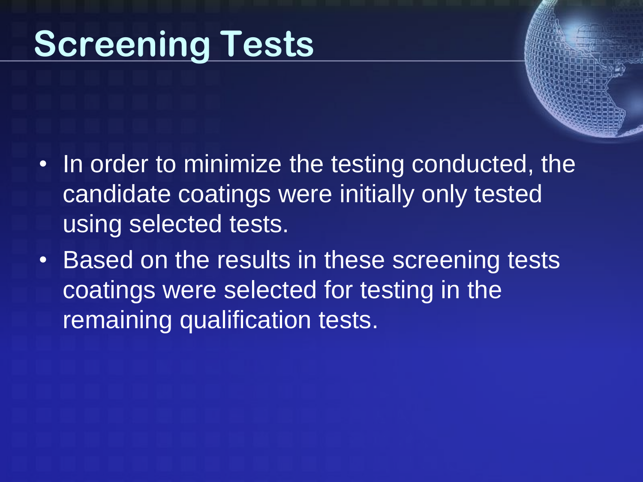### **Screening Tests**

- In order to minimize the testing conducted, the candidate coatings were initially only tested using selected tests.
- Based on the results in these screening tests coatings were selected for testing in the remaining qualification tests.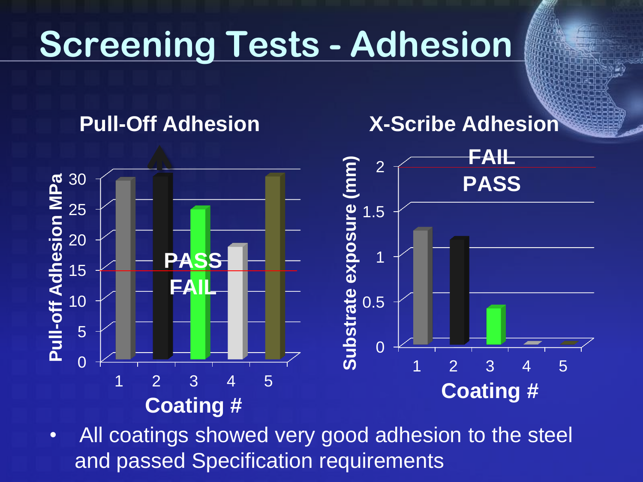# **Screening Tests - Adhesion**

#### **Pull-Off Adhesion**

#### **X-Scribe Adhesion**



• All coatings showed very good adhesion to the steel and passed Specification requirements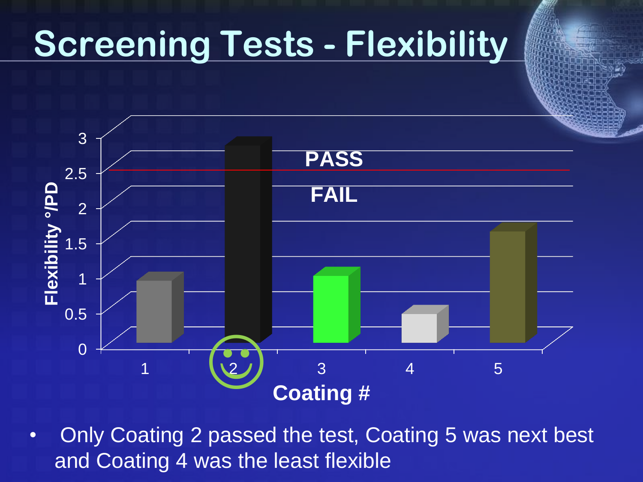### **Screening Tests - Flexibility**



• Only Coating 2 passed the test, Coating 5 was next best and Coating 4 was the least flexible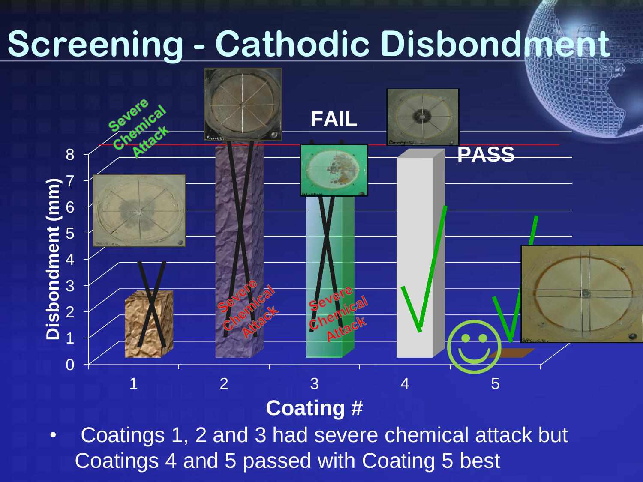## **Screening - Cathodic Disbondment**



#### **Coating #**

• Coatings 1, 2 and 3 had severe chemical attack but Coatings 4 and 5 passed with Coating 5 best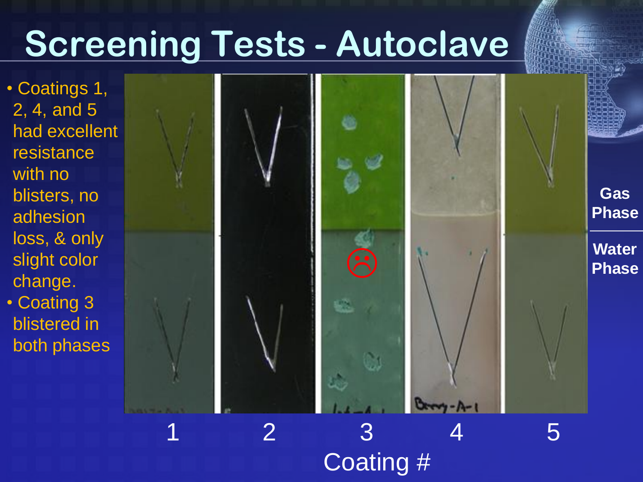### **Screening Tests - Autoclave**

• Coatings 1, 2, 4, and 5 had excellent resistance with no blisters, no adhesion loss, & only slight color change. • Coating 3 blistered in both phases



Coating #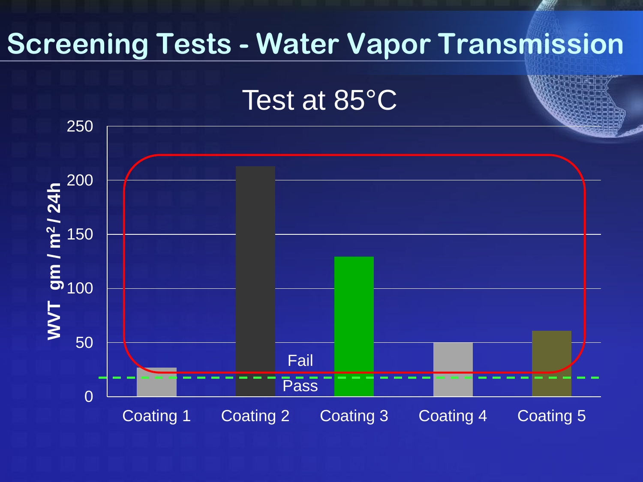#### **Screening Tests - Water Vapor Transmission**

Test at 85°C

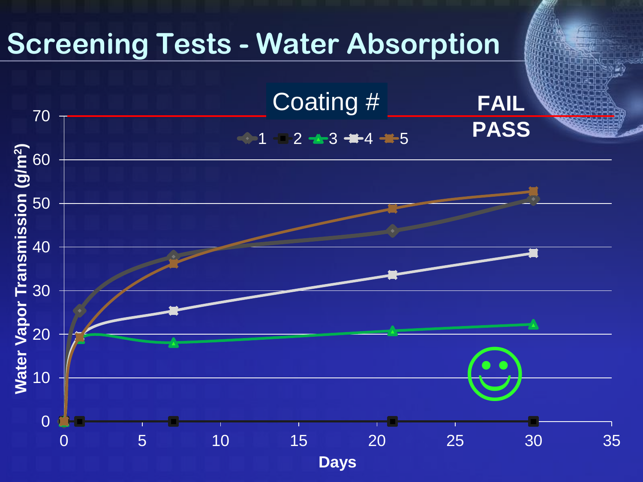#### **Screening Tests - Water Absorption**

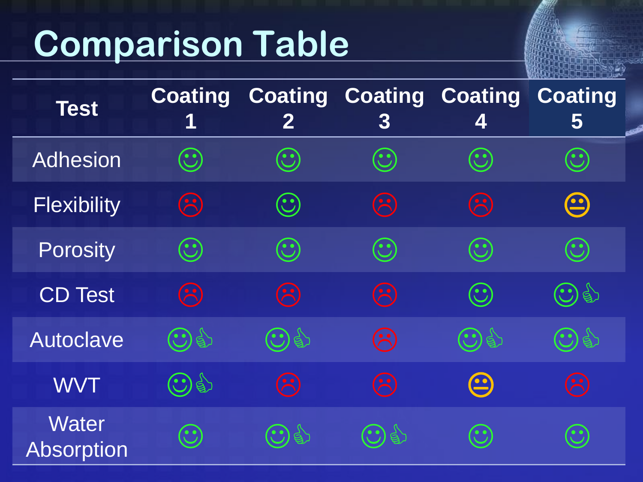## **Comparison Table**

| <b>Test</b>                       | <b>Coating</b><br>1                              | $\bf{2}$           | <b>Coating Coating Coating</b><br>$\bf{3}$       | 4                    | <b>Coating</b><br>5  |
|-----------------------------------|--------------------------------------------------|--------------------|--------------------------------------------------|----------------------|----------------------|
| Adhesion                          | $\mathbf{C}$                                     | $\mathbf{C}$       | $\odot$                                          | $\odot$              | $\bigodot$           |
| <b>Flexibility</b>                | $\left(\begin{matrix} \cdot \end{matrix}\right)$ | $\mathbf{(\cdot)}$ | $\odot$                                          | $\odot$              | $\bm \Theta$         |
| <b>Porosity</b>                   | $\mathbf{C}$                                     | $\odot$            | $\odot$                                          | $\bigodot$           | $\bigodot$           |
| <b>CD Test</b>                    | $\mathcal{L}$                                    | $\mathbf{R}$       | $\mathcal{L}$                                    | $\odot$              | $\bigodot$ of        |
| Autoclave                         | $\bigodot$ g)                                    | $\bigodot$ g)      | $\left(\begin{matrix} \cdot \end{matrix}\right)$ | 19<br>$\mathbf{C})$  | $\mathbb{R}$         |
| <b>WVT</b>                        | $\bigodot$ g)                                    | $\mathbf{R}$       | $\mathcal{F}$                                    | $\boldsymbol{\odot}$ | $\mathbf{r}$         |
| <b>Water</b><br><b>Absorption</b> | $\mathbf{C}$                                     | IS                 | $\beta$                                          | $\mathbf{C}$         | $\ddot{\phantom{0}}$ |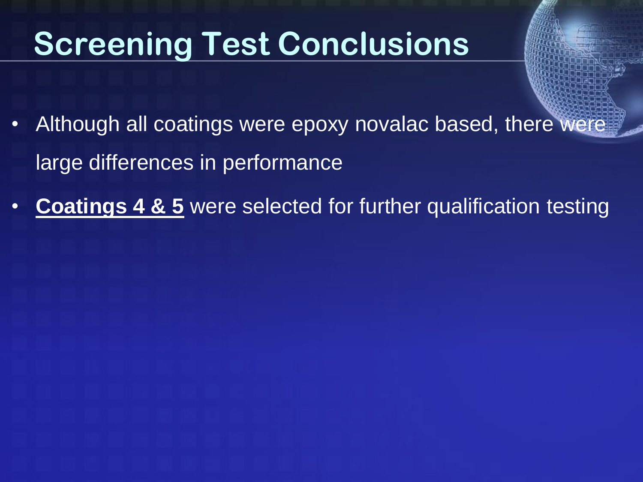### **Screening Test Conclusions**

- Although all coatings were epoxy novalac based, there were large differences in performance
- **Coatings 4 & 5** were selected for further qualification testing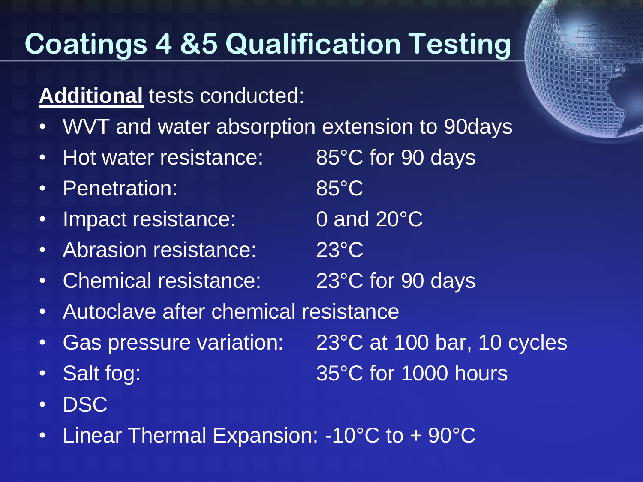#### **Coatings 4 &5 Qualification Testing**

#### **Additional** tests conducted:

- WVT and water absorption extension to 90days
- Hot water resistance: 85°C for 90 days
- Penetration: 85°C
- Impact resistance: 0 and 20°C
- Abrasion resistance: 23°C
- Chemical resistance: 23°C for 90 days
- Autoclave after chemical resistance
- 
- 
- DSC
- Linear Thermal Expansion: -10°C to + 90°C

• Gas pressure variation: 23°C at 100 bar, 10 cycles

• Salt fog: 35°C for 1000 hours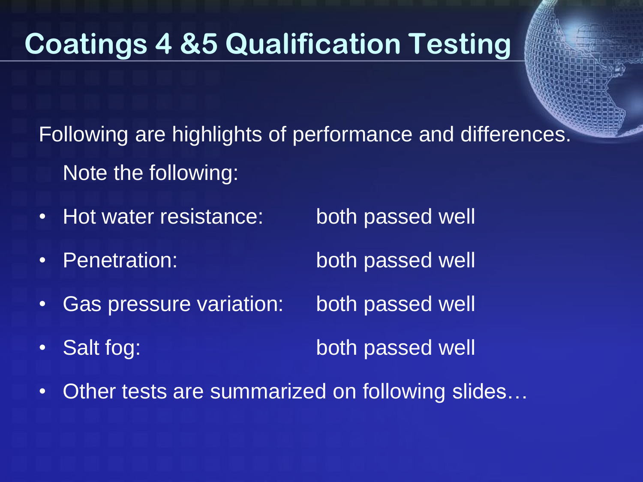#### **Coatings 4 &5 Qualification Testing**

Following are highlights of performance and differences. Note the following:

- Hot water resistance: both passed well
- Penetration: both passed well
- Gas pressure variation: both passed well
- -
- Salt fog: both passed well
- Other tests are summarized on following slides…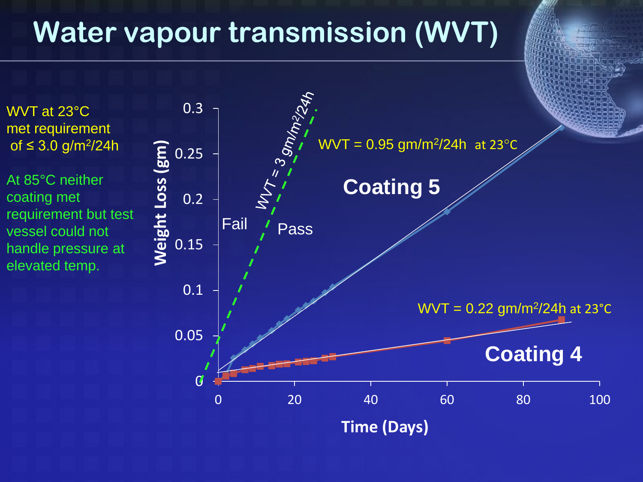#### **Water vapour transmission (WVT)**

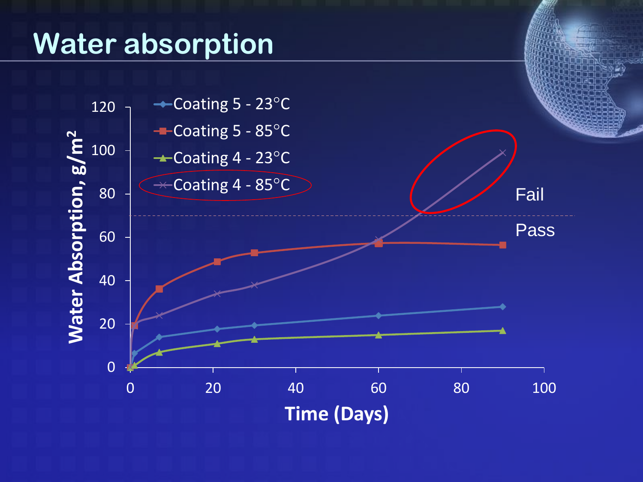#### **Water absorption**

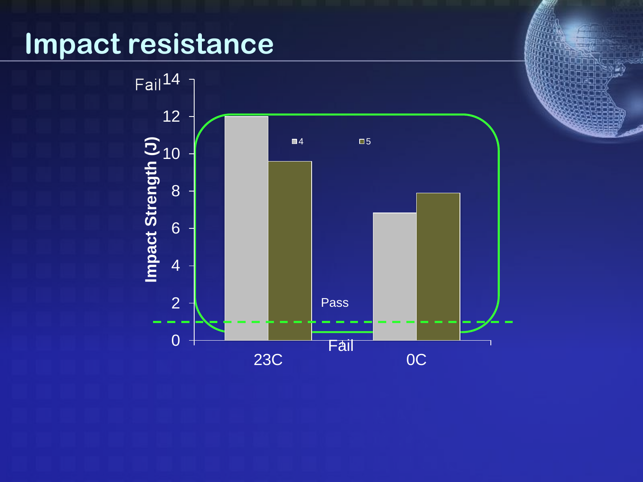#### **Impact resistance**

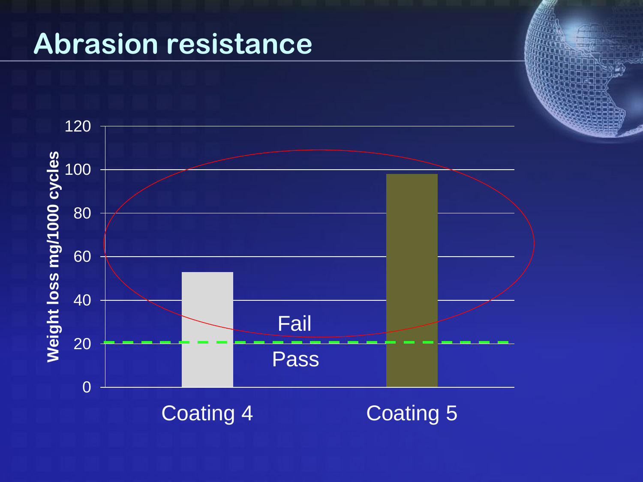#### **Abrasion resistance**

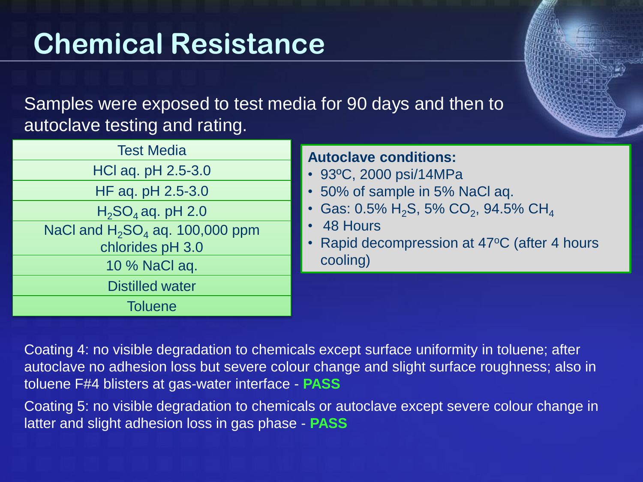#### **Chemical Resistance**

Samples were exposed to test media for 90 days and then to autoclave testing and rating.

| <b>Test Media</b>                  | <b>Autoclave conditions:</b><br>• 93°C, 2000 psi/14MPa      |  |  |  |
|------------------------------------|-------------------------------------------------------------|--|--|--|
| HCl aq. pH 2.5-3.0                 |                                                             |  |  |  |
| HF aq. pH 2.5-3.0                  | • 50% of sample in 5% NaCl aq.                              |  |  |  |
| $H_2SO_4$ aq. pH 2.0               | • Gas: $0.5\%$ H <sub>2</sub> S, 5% CO <sub>2</sub> , 94.5° |  |  |  |
| NaCl and $H_2SO_4$ aq. 100,000 ppm | • 48 Hours                                                  |  |  |  |
| chlorides pH 3.0                   | • Rapid decompression at 47°C                               |  |  |  |
| 10 % NaCl aq.                      | cooling)                                                    |  |  |  |
| <b>Distilled water</b>             |                                                             |  |  |  |
| <b>Toluene</b>                     |                                                             |  |  |  |

Coating 4: no visible degradation to chemicals except surface uniformity in toluene; after autoclave no adhesion loss but severe colour change and slight surface roughness; also in toluene F#4 blisters at gas-water interface - **PASS**

 $, 94.5\%$  CH $_4$ 

 $47^{\circ}$ C (after 4 hours

Coating 5: no visible degradation to chemicals or autoclave except severe colour change in latter and slight adhesion loss in gas phase - **PASS**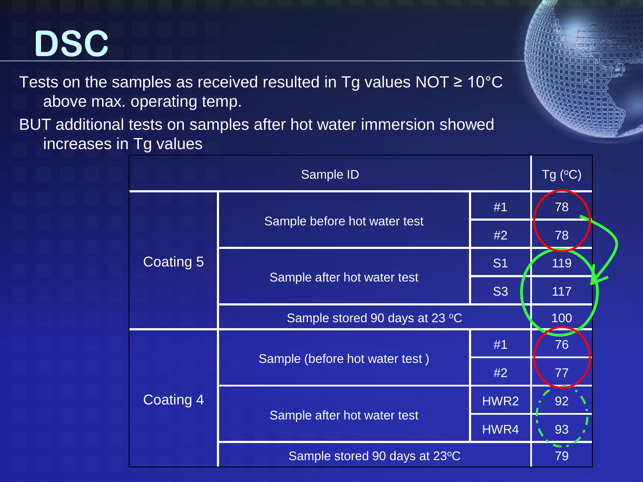### **DSC**

Tests on the samples as received resulted in Tg values NOT  $\geq 10^{\circ}$ C above max. operating temp.

BUT additional tests on samples after hot water immersion showed increases in Tg values

| Sample ID |                                |           | Tg $(C)$ |
|-----------|--------------------------------|-----------|----------|
| Coating 5 |                                | #1        | 78       |
|           | Sample before hot water test   | #2        | 78       |
|           |                                | <b>S1</b> | 119      |
|           | Sample after hot water test    | <b>S3</b> | 117      |
|           | Sample stored 90 days at 23 °C | 100       |          |
| Coating 4 |                                | #1        | 76       |
|           | Sample (before hot water test) | #2        | 77       |
|           |                                | HWR2      | 92       |
|           | Sample after hot water test    | HWR4      | 93       |
|           | Sample stored 90 days at 23°C  |           | 79       |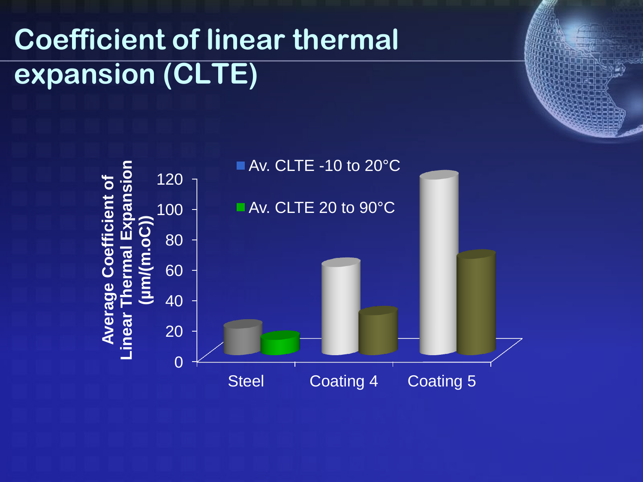#### **Coefficient of linear thermal expansion (CLTE)**

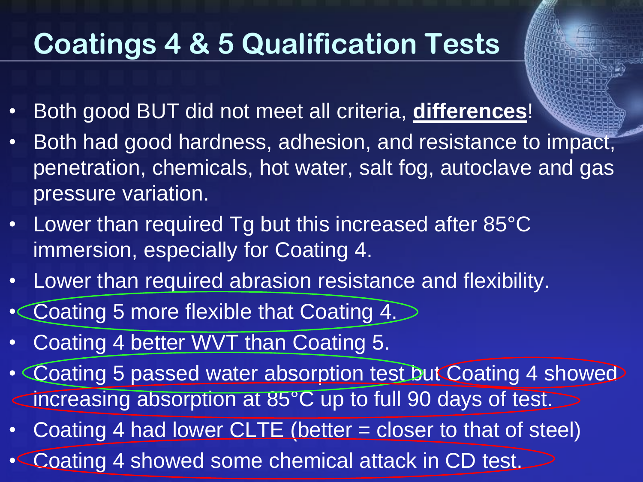#### **Coatings 4 & 5 Qualification Tests**

- Both good BUT did not meet all criteria, **differences**!
- Both had good hardness, adhesion, and resistance to impact, penetration, chemicals, hot water, salt fog, autoclave and gas pressure variation.
- Lower than required Tg but this increased after 85°C immersion, especially for Coating 4.
- Lower than required abrasion resistance and flexibility.
- Coating 5 more flexible that Coating 4.
- Coating 4 better WVT than Coating 5.
- Coating 5 passed water absorption test but Coating 4 showed increasing absorption at 85°C up to full 90 days of test.
- Coating 4 had lower CLTE (better = closer to that of steel)
- Coating 4 showed some chemical attack in CD test.